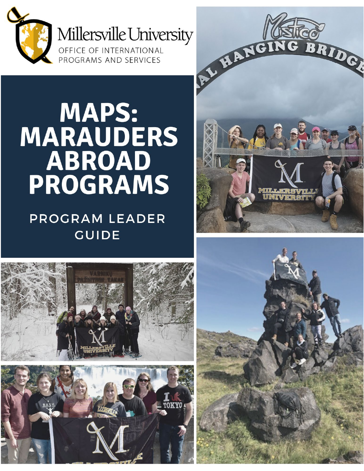

# **MAPS: MARAUDERS** ABROAD **PROGRAMS**

## PROGRAM LEADER **GUIDE**





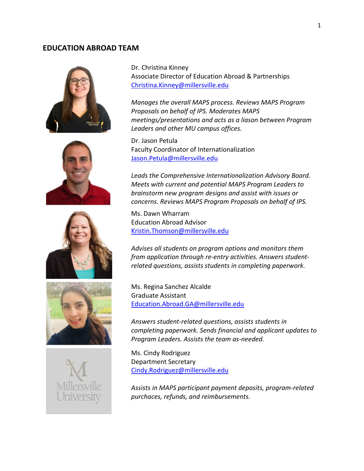## **EDUCATION ABROAD TEAM**











Dr. Christina Kinney Associate Director of Education Abroad & Partnerships [Christina.Kinney@millersville.edu](mailto:Christina.Kinney@millersville.edu)

*Manages the overall MAPS process. Reviews MAPS Program Proposals on behalf of IPS. Moderates MAPS meetings/presentations and acts as a liason between Program Leaders and other MU campus offices.* 

Dr. Jason Petula Faculty Coordinator of Internationalization [Jason.Petula@millersville.edu](mailto:Jason.Petula@millersville.edu)

*Leads the Comprehensive Internationalization Advisory Board. Meets with current and potential MAPS Program Leaders to brainstorm new program designs and assist with issues or concerns. Reviews MAPS Program Proposals on behalf of IPS.* 

Ms. Dawn Wharram Education Abroad Advisor [Kristin.Thomson@millersville.edu](mailto:Kristin.Thomson@millersville.edu)

*Advises all students on program options and monitors them from application through re-entry activities. Answers studentrelated questions, assists students in completing paperwork.* 

Ms. Regina Sanchez Alcalde Graduate Assistant [Education.Abroad.GA@millersville.edu](mailto:Education.Abroad.GA@millersville.edu)

*Answers student-related questions, assists students in completing paperwork. Sends financial and applicant updates to Program Leaders. Assists the team as-needed.*

Ms. Cindy Rodriguez Department Secretary [Cindy.Rodriguez@millersville.edu](mailto:Cindy.Rodriguez@millersville.edu)

*Assists in MAPS participant payment deposits, program-related purchaces, refunds, and reimbursements.*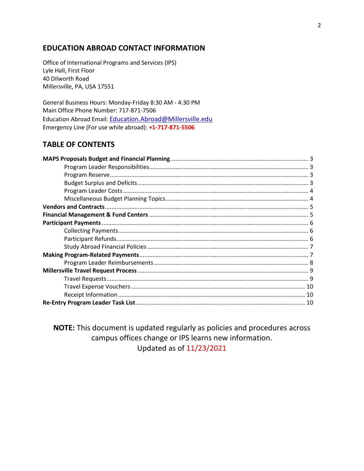## **EDUCATION ABROAD CONTACT INFORMATION**

Office of International Programs and Services (IPS) Lyle Hall, First Floor 40 Dilworth Road Millersville, PA, USA 17551

General Business Hours: Monday-Friday 8:30 AM - 4:30 PM Main Office Phone Number: 717-871-7506 Education Abroad Email: [Education.Abroad@Millersville.edu](mailto:Education.Abroad@Millersville.edu) Emergency Line (For use while abroad): **+1-717-871-5506**

## **TABLE OF CONTENTS**

**NOTE:** This document is updated regularly as policies and procedures across campus offices change or IPS learns new information. Updated as of 11/23/2021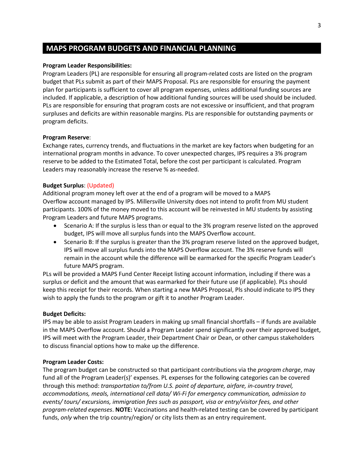## **MAPS PROGRAM BUDGETS AND FINANCIAL PLANNING**

## **Program Leader Responsibilities:**

Program Leaders (PL) are responsible for ensuring all program-related costs are listed on the program budget that PLs submit as part of their MAPS Proposal. PLs are responsible for ensuring the payment plan for participants is sufficient to cover all program expenses, unless additional funding sources are included. If applicable, a description of how additional funding sources will be used should be included. PLs are responsible for ensuring that program costs are not excessive or insufficient, and that program surpluses and deficits are within reasonable margins. PLs are responsible for outstanding payments or program deficits.

## **Program Reserve**:

Exchange rates, currency trends, and fluctuations in the market are key factors when budgeting for an international program months in advance. To cover unexpected charges, IPS requires a 3% program reserve to be added to the Estimated Total, before the cost per participant is calculated. Program Leaders may reasonably increase the reserve % as-needed.

## **Budget Surplus**: (Updated)

Additional program money left over at the end of a program will be moved to a MAPS Overflow account managed by IPS. Millersville University does not intend to profit from MU student participants. 100% of the money moved to this account will be reinvested in MU students by assisting Program Leaders and future MAPS programs.

- Scenario A: If the surplus is less than or equal to the 3% program reserve listed on the approved budget, IPS will move all surplus funds into the MAPS Overflow account.
- Scenario B: If the surplus is greater than the 3% program reserve listed on the approved budget, IPS will move all surplus funds into the MAPS Overflow account. The 3% reserve funds will remain in the account while the difference will be earmarked for the specific Program Leader's future MAPS program.

PLs will be provided a MAPS Fund Center Receipt listing account information, including if there was a surplus or deficit and the amount that was earmarked for their future use (if applicable). PLs should keep this receipt for their records. When starting a new MAPS Proposal, Pls should indicate to IPS they wish to apply the funds to the program or gift it to another Program Leader.

### **Budget Deficits:**

IPS may be able to assist Program Leaders in making up small financial shortfalls – if funds are available in the MAPS Overflow account. Should a Program Leader spend significantly over their approved budget, IPS will meet with the Program Leader, their Department Chair or Dean, or other campus stakeholders to discuss financial options how to make up the difference.

### **Program Leader Costs:**

The program budget can be constructed so that participant contributions via the *program charge*, may fund all of the Program Leader(s)' expenses. PL expenses for the following categories can be covered through this method: *transportation to/from U.S. point of departure, airfare, in-country travel, accommodations, meals, international cell data/ Wi-Fi for emergency communication, admission to events/ tours/ excursions, immigration fees such as passport, visa or entry/visitor fees, and other program-related expenses*. **NOTE:** Vaccinations and health-related testing can be covered by participant funds, *only* when the trip country/region/ or city lists them as an entry requirement.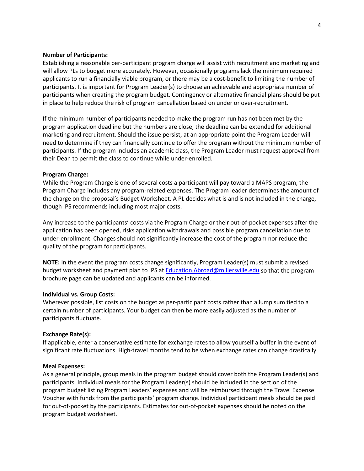### **Number of Participants:**

Establishing a reasonable per-participant program charge will assist with recruitment and marketing and will allow PLs to budget more accurately. However, occasionally programs lack the minimum required applicants to run a financially viable program, or there may be a cost-benefit to limiting the number of participants. It is important for Program Leader(s) to choose an achievable and appropriate number of participants when creating the program budget. Contingency or alternative financial plans should be put in place to help reduce the risk of program cancellation based on under or over-recruitment.

If the minimum number of participants needed to make the program run has not been met by the program application deadline but the numbers are close, the deadline can be extended for additional marketing and recruitment. Should the issue persist, at an appropriate point the Program Leader will need to determine if they can financially continue to offer the program without the minimum number of participants. If the program includes an academic class, the Program Leader must request approval from their Dean to permit the class to continue while under-enrolled.

#### **Program Charge:**

While the Program Charge is one of several costs a participant will pay toward a MAPS program, the Program Charge includes any program-related expenses. The Program leader determines the amount of the charge on the proposal's Budget Worksheet. A PL decides what is and is not included in the charge, though IPS recommends including most major costs.

Any increase to the participants' costs via the Program Charge or their out-of-pocket expenses after the application has been opened, risks application withdrawals and possible program cancellation due to under-enrollment. Changes should not significantly increase the cost of the program nor reduce the quality of the program for participants.

**NOTE:** In the event the program costs change significantly, Program Leader(s) must submit a revised budget worksheet and payment plan to IPS a[t Education.Abroad@millersville.edu](mailto:Education.Abroad@millersville.edu) so that the program brochure page can be updated and applicants can be informed.

#### **Individual vs. Group Costs:**

Wherever possible, list costs on the budget as per-participant costs rather than a lump sum tied to a certain number of participants. Your budget can then be more easily adjusted as the number of participants fluctuate.

#### **Exchange Rate(s):**

If applicable, enter a conservative estimate for exchange rates to allow yourself a buffer in the event of significant rate fluctuations. High-travel months tend to be when exchange rates can change drastically.

#### **Meal Expenses:**

As a general principle, group meals in the program budget should cover both the Program Leader(s) and participants. Individual meals for the Program Leader(s) should be included in the section of the program budget listing Program Leaders' expenses and will be reimbursed through the Travel Expense Voucher with funds from the participants' program charge. Individual participant meals should be paid for out-of-pocket by the participants. Estimates for out-of-pocket expenses should be noted on the program budget worksheet.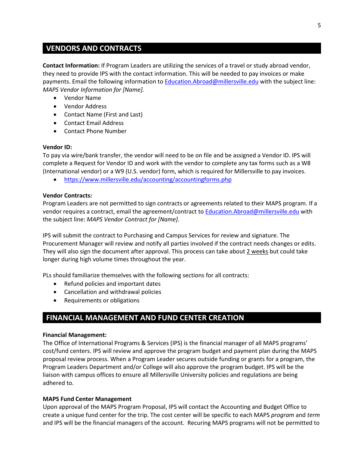## **VENDORS AND CONTRACTS**

**Contact Information:** If Program Leaders are utilizing the services of a travel or study abroad vendor, they need to provide IPS with the contact information. This will be needed to pay invoices or make payments. Email the following information to **Education.Abroad@millersville.edu with the subject line:** *MAPS Vendor Information for [Name].*

- Vendor Name
- Vendor Address
- Contact Name (First and Last)
- Contact Email Address
- Contact Phone Number

## **Vendor ID:**

To pay via wire/bank transfer, the vendor will need to be on file and be assigned a Vendor ID. IPS will complete a Request for Vendor ID and work with the vendor to complete any tax forms such as a W8 (International vendor) or a W9 (U.S. vendor) form, which is required for Millersville to pay invoices.

• <https://www.millersville.edu/accounting/accountingforms.php>

## **Vendor Contracts:**

Program Leaders are not permitted to sign contracts or agreements related to their MAPS program. If a vendor requires a contract, email the agreement/contract to [Education.Abroad@millersville.edu](mailto:Education.Abroad@millersville.edu) with the subject line: *MAPS Vendor Contract for [Name].*

IPS will submit the contract to Purchasing and Campus Services for review and signature. The Procurement Manager will review and notify all parties involved if the contract needs changes or edits. They will also sign the document after approval. This process can take about 2 weeks but could take longer during high volume times throughout the year.

PLs should familiarize themselves with the following sections for all contracts:

- Refund policies and important dates
- Cancellation and withdrawal policies
- Requirements or obligations

## **FINANCIAL MANAGEMENT AND FUND CENTER CREATION**

### **Financial Management:**

The Office of International Programs & Services (IPS) is the financial manager of all MAPS programs' cost/fund centers. IPS will review and approve the program budget and payment plan during the MAPS proposal review process. When a Program Leader secures outside funding or grants for a program, the Program Leaders Department and/or College will also approve the program budget. IPS will be the liaison with campus offices to ensure all Millersville University policies and regulations are being adhered to.

## **MAPS Fund Center Management**

Upon approval of the MAPS Program Proposal, IPS will contact the Accounting and Budget Office to create a unique fund center for the trip. The cost center will be specific to each MAPS *program* and *term* and IPS will be the financial managers of the account. Recuring MAPS programs will not be permitted to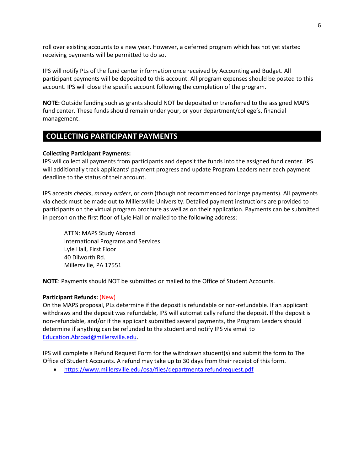roll over existing accounts to a new year. However, a deferred program which has not yet started receiving payments will be permitted to do so.

IPS will notify PLs of the fund center information once received by Accounting and Budget. All participant payments will be deposited to this account. All program expenses should be posted to this account. IPS will close the specific account following the completion of the program.

**NOTE:** Outside funding such as grants should NOT be deposited or transferred to the assigned MAPS fund center. These funds should remain under your, or your department/college's, financial management.

## **COLLECTING PARTICIPANT PAYMENTS**

### **Collecting Participant Payments:**

IPS will collect all payments from participants and deposit the funds into the assigned fund center. IPS will additionally track applicants' payment progress and update Program Leaders near each payment deadline to the status of their account.

IPS accepts *checks*, *money orders*, or *cash* (though not recommended for large payments). All payments via check must be made out to Millersville University. Detailed payment instructions are provided to participants on the virtual program brochure as well as on their application. Payments can be submitted in person on the first floor of Lyle Hall or mailed to the following address:

ATTN: MAPS Study Abroad International Programs and Services Lyle Hall, First Floor 40 Dilworth Rd. Millersville, PA 17551

**NOTE**: Payments should NOT be submitted or mailed to the Office of Student Accounts.

### **Participant Refunds:** (New)

On the MAPS proposal, PLs determine if the deposit is refundable or non-refundable. If an applicant withdraws and the deposit was refundable, IPS will automatically refund the deposit. If the deposit is non-refundable, and/or if the applicant submitted several payments, the Program Leaders should determine if anything can be refunded to the student and notify IPS via email to [Education.Abroad@millersville.edu.](mailto:Education.Abroad@millersville.edu)

IPS will complete a Refund Request Form for the withdrawn student(s) and submit the form to The Office of Student Accounts. A refund may take up to 30 days from their receipt of this form.

• <https://www.millersville.edu/osa/files/departmentalrefundrequest.pdf>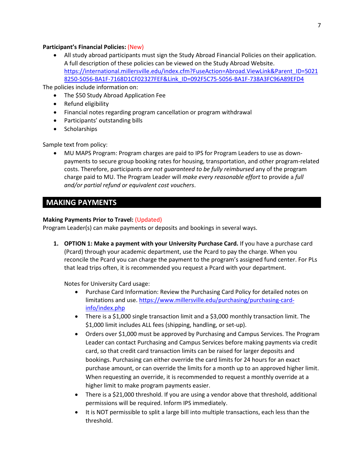## **Participant's Financial Policies:** (New)

• All study abroad participants must sign the Study Abroad Financial Policies on their application. A full description of these policies can be viewed on the Study Abroad Website. [https://international.millersville.edu/index.cfm?FuseAction=Abroad.ViewLink&Parent\\_ID=5021](https://international.millersville.edu/index.cfm?FuseAction=Abroad.ViewLink&Parent_ID=50218250-5056-BA1F-7168D1CF02327FEF&Link_ID=092F5C75-5056-BA1F-738A3FC96A89EFD4) [8250-5056-BA1F-7168D1CF02327FEF&Link\\_ID=092F5C75-5056-BA1F-738A3FC96A89EFD4](https://international.millersville.edu/index.cfm?FuseAction=Abroad.ViewLink&Parent_ID=50218250-5056-BA1F-7168D1CF02327FEF&Link_ID=092F5C75-5056-BA1F-738A3FC96A89EFD4)

The policies include information on:

- The \$50 Study Abroad Application Fee
- Refund eligibility
- Financial notes regarding program cancellation or program withdrawal
- Participants' outstanding bills
- Scholarships

Sample text from policy:

• MU MAPS Program: Program charges are paid to IPS for Program Leaders to use as downpayments to secure group booking rates for housing, transportation, and other program-related costs. Therefore, participants *are not guaranteed to be fully reimbursed* any of the program charge paid to MU. The Program Leader will *make every reasonable effort* to provide a *full and/or partial refund or equivalent cost vouchers*.

## **MAKING PAYMENTS**

## **Making Payments Prior to Travel:** (Updated)

Program Leader(s) can make payments or deposits and bookings in several ways.

**1. OPTION 1: Make a payment with your University Purchase Card.** If you have a purchase card (Pcard) through your academic department, use the Pcard to pay the charge. When you reconcile the Pcard you can charge the payment to the program's assigned fund center. For PLs that lead trips often, it is recommended you request a Pcard with your department.

Notes for University Card usage:

- Purchase Card Information: Review the Purchasing Card Policy for detailed notes on limitations and use. [https://www.millersville.edu/purchasing/purchasing-card](https://www.millersville.edu/purchasing/purchasing-card-info/index.php)[info/index.php](https://www.millersville.edu/purchasing/purchasing-card-info/index.php)
- There is a \$1,000 single transaction limit and a \$3,000 monthly transaction limit. The \$1,000 limit includes ALL fees (shipping, handling, or set-up).
- Orders over \$1,000 must be approved by Purchasing and Campus Services. The Program Leader can contact Purchasing and Campus Services before making payments via credit card, so that credit card transaction limits can be raised for larger deposits and bookings. Purchasing can either override the card limits for 24 hours for an exact purchase amount, or can override the limits for a month up to an approved higher limit. When requesting an override, it is recommended to request a monthly override at a higher limit to make program payments easier.
- There is a \$21,000 threshold. If you are using a vendor above that threshold, additional permissions will be required. Inform IPS immediately.
- It is NOT permissible to split a large bill into multiple transactions, each less than the threshold.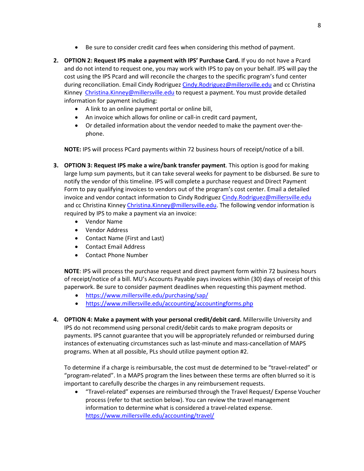- Be sure to consider credit card fees when considering this method of payment.
- **2. OPTION 2: Request IPS make a payment with IPS' Purchase Card.** If you do not have a Pcard and do not intend to request one, you may work with IPS to pay on your behalf. IPS will pay the cost using the IPS Pcard and will reconcile the charges to the specific program's fund center during reconciliation. Email Cindy Rodriguez [Cindy.Rodriguez@millersville.edu](mailto:Cindy.Rodriguez@millersville.edu) and cc Christina Kinney [Christina.Kinney@millersville.edu](mailto:Christina.Kinney@millersville.edu) to request a payment. You must provide detailed information for payment including:
	- A link to an online payment portal or online bill,
	- An invoice which allows for online or call-in credit card payment,
	- Or detailed information about the vendor needed to make the payment over-thephone.

**NOTE:** IPS will process PCard payments within 72 business hours of receipt/notice of a bill.

- **3. OPTION 3: Request IPS make a wire/bank transfer payment**. This option is good for making large lump sum payments, but it can take several weeks for payment to be disbursed. Be sure to notify the vendor of this timeline. IPS will complete a purchase request and Direct Payment Form to pay qualifying invoices to vendors out of the program's cost center. Email a detailed invoice and vendor contact information to Cindy Rodriguez [Cindy.Rodriguez@millersville.edu](mailto:Cindy.Rodriguez@millersville.edu) and cc Christina Kinney [Christina.Kinney@millersville.edu.](mailto:Christina.Kinney@millersville.edu) The following vendor information is required by IPS to make a payment via an invoice:
	- Vendor Name
	- Vendor Address
	- Contact Name (First and Last)
	- Contact Email Address
	- Contact Phone Number

**NOTE**: IPS will process the purchase request and direct payment form within 72 business hours of receipt/notice of a bill. MU's Accounts Payable pays invoices within (30) days of receipt of this paperwork. Be sure to consider payment deadlines when requesting this payment method.

- <https://www.millersville.edu/purchasing/sap/>
- <https://www.millersville.edu/accounting/accountingforms.php>
- **4. OPTION 4: Make a payment with your personal credit/debit card.** Millersville University and IPS do not recommend using personal credit/debit cards to make program deposits or payments. IPS cannot guarantee that you will be appropriately refunded or reimbursed during instances of extenuating circumstances such as last-minute and mass-cancellation of MAPS programs. When at all possible, PLs should utilize payment option #2.

To determine if a charge is reimbursable, the cost must de determined to be "travel-related" or "program-related". In a MAPS program the lines between these terms are often blurred so it is important to carefully describe the charges in any reimbursement requests.

• "Travel-related" expenses are reimbursed through the Travel Request/ Expense Voucher process (refer to that section below). You can review the travel management information to determine what is considered a travel-related expense. <https://www.millersville.edu/accounting/travel/>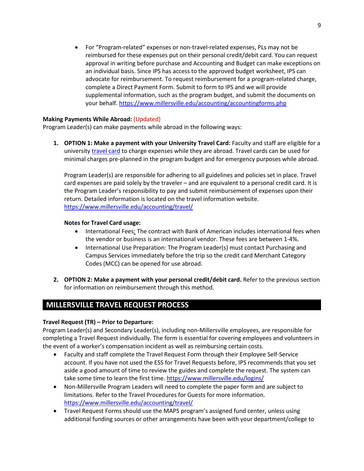• For "Program-related" expenses or non-travel-related expenses, PLs may not be reimbursed for these expenses put on their personal credit/debit card. You can request approval in writing before purchase and Accounting and Budget can make exceptions on an individual basis. Since IPS has access to the approved budget worksheet, IPS can advocate for reimbursement. To request reimbursement for a program-related charge, complete a Direct Payment Form. Submit to form to IPS and we will provide supplemental information, such as the program budget, and submit the documents on your behalf.<https://www.millersville.edu/accounting/accountingforms.php>

## **Making Payments While Abroad:** (Updated)

Program Leader(s) can make payments while abroad in the following ways:

**1. OPTION 1: Make a payment with your University Travel Card:** Faculty and staff are eligible for a university [travel card](https://www.millersville.edu/accounting/travel/) to charge expenses while they are abroad. Travel cards can be used for minimal charges pre-planned in the program budget and for emergency purposes while abroad.

Program Leader(s) are responsible for adhering to all guidelines and policies set in place. Travel card expenses are paid solely by the traveler – and are equivalent to a personal credit card. It is the Program Leader's responsibility to pay and submit reimbursement of expenses upon their return. Detailed information is located on the travel information website. <https://www.millersville.edu/accounting/travel/>

## **Notes for Travel Card usage:**

- International Fees: The contract with Bank of American includes international fees when the vendor or business is an international vendor. These fees are between 1-4%.
- International Use Preparation: The Program Leader(s) must contact Purchasing and Campus Services immediately before the trip so the credit card Merchant Category Codes (MCC) can be opened for use abroad.
- **2. OPTION 2: Make a payment with your personal credit/debit card.** Refer to the previous section for information on reimbursement through this method.

## **MILLERSVILLE TRAVEL REQUEST PROCESS**

## **Travel Request (TR) – Prior to Departure:**

Program Leader(s) and Secondary Leader(s), including non-Millersville employees, are responsible for completing a Travel Request individually. The form is essential for covering employees and volunteers in the event of a worker's compensation incident as well as reimbursing certain costs.

- Faculty and staff complete the Travel Request Form through their Employee Self-Service account. If you have not used the ESS for Travel Requests before, IPS recommends that you set aside a good amount of time to review the guides and complete the request. The system can take some time to learn the first time[. https://www.millersville.edu/logins/](https://www.millersville.edu/logins/)
- Non-Millersville Program Leaders will need to complete the paper form and are subject to limitations. Refer to the Travel Procedures for Guests for more information. <https://www.millersville.edu/accounting/travel/>
- Travel Request Forms should use the MAPS program's assigned fund center, unless using additional funding sources or other arrangements have been with your department/college to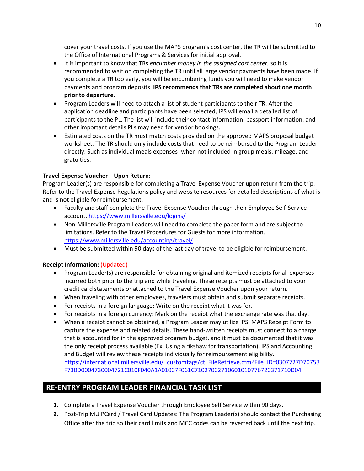cover your travel costs. If you use the MAPS program's cost center, the TR will be submitted to the Office of International Programs & Services for initial approval.

- It is important to know that TRs *encumber money in the assigned cost center*, so it is recommended to wait on completing the TR until all large vendor payments have been made. If you complete a TR too early, you will be encumbering funds you will need to make vendor payments and program deposits. **IPS recommends that TRs are completed about one month prior to departure.**
- Program Leaders will need to attach a list of student participants to their TR. After the application deadline and participants have been selected, IPS will email a detailed list of participants to the PL. The list will include their contact information, passport information, and other important details PLs may need for vendor bookings.
- Estimated costs on the TR must match costs provided on the approved MAPS proposal budget worksheet. The TR should only include costs that need to be reimbursed to the Program Leader directly: Such as individual meals expenses- when not included in group meals, mileage, and gratuities.

## **Travel Expense Voucher – Upon Return**:

Program Leader(s) are responsible for completing a Travel Expense Voucher upon return from the trip. Refer to the Travel Expense Regulations policy and website resources for detailed descriptions of what is and is not eligible for reimbursement.

- Faculty and staff complete the Travel Expense Voucher through their Employee Self-Service account.<https://www.millersville.edu/logins/>
- Non-Millersville Program Leaders will need to complete the paper form and are subject to limitations. Refer to the Travel Procedures for Guests for more information. <https://www.millersville.edu/accounting/travel/>
- Must be submitted within 90 days of the last day of travel to be eligible for reimbursement.

## **Receipt Information:** (Updated)

- Program Leader(s) are responsible for obtaining original and itemized receipts for all expenses incurred both prior to the trip and while traveling. These receipts must be attached to your credit card statements or attached to the Travel Expense Voucher upon your return.
- When traveling with other employees, travelers must obtain and submit separate receipts.
- For receipts in a foreign language: Write on the receipt what it was for.
- For receipts in a foreign currency: Mark on the receipt what the exchange rate was that day.
- When a receipt cannot be obtained, a Program Leader may utilize IPS' MAPS Receipt Form to capture the expense and related details. These hand-written receipts must connect to a charge that is accounted for in the approved program budget, and it must be documented that it was the only receipt process available (Ex. Using a rikshaw for transportation). IPS and Accounting and Budget will review these receipts individually for reimbursement eligibility. [https://international.millersville.edu/\\_customtags/ct\\_FileRetrieve.cfm?File\\_ID=0307727D70753](https://international.millersville.edu/_customtags/ct_FileRetrieve.cfm?File_ID=0307727D70753F730D0004730004721C010F040A1A01007F061C71027002710601010776720371710D04) [F730D0004730004721C010F040A1A01007F061C71027002710601010776720371710D04](https://international.millersville.edu/_customtags/ct_FileRetrieve.cfm?File_ID=0307727D70753F730D0004730004721C010F040A1A01007F061C71027002710601010776720371710D04)

## **RE-ENTRY PROGRAM LEADER FINANCIAL TASK LIST**

- **1.** Complete a Travel Expense Voucher through Employee Self Service within 90 days.
- **2.** Post-Trip MU PCard / Travel Card Updates: The Program Leader(s) should contact the Purchasing Office after the trip so their card limits and MCC codes can be reverted back until the next trip.